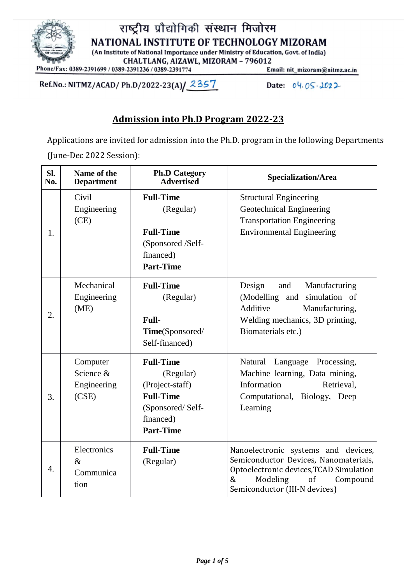

राष्ट्रीय प्रौद्योगिकी संस्थान मिजोरम NATIONAL INSTITUTE OF TECHNOLOGY MIZORAM (An Institute of National Importance under Ministry of Education, Govt. of India)

CHALTLANG, AIZAWL, MIZORAM - 796012

Phone/Fax: 0389-2391699 / 0389-2391236 / 0389-2391774

Ref.No.: NITMZ/ACAD/ Ph.D/2022-23(A) 2357

Email: nit\_mizoram@nitmz.ac.in

Date: 04.05.2022

# **Admission into Ph.D Program 2022-23**

Applications are invited for admission into the Ph.D. program in the following Departments (June-Dec 2022 Session):

| Sl.<br>No. | Name of the<br><b>Department</b>              | <b>Ph.D Category</b><br><b>Advertised</b>                                                                                 | Specialization/Area                                                                                                                                                                            |
|------------|-----------------------------------------------|---------------------------------------------------------------------------------------------------------------------------|------------------------------------------------------------------------------------------------------------------------------------------------------------------------------------------------|
| 1.         | Civil<br>Engineering<br>(CE)                  | <b>Full-Time</b><br>(Regular)<br><b>Full-Time</b><br>(Sponsored /Self-<br>financed)<br><b>Part-Time</b>                   | <b>Structural Engineering</b><br>Geotechnical Engineering<br><b>Transportation Engineering</b><br><b>Environmental Engineering</b>                                                             |
| 2.         | Mechanical<br>Engineering<br>(ME)             | <b>Full-Time</b><br>(Regular)<br><b>Full-</b><br>Time(Sponsored/<br>Self-financed)                                        | Design<br>and<br>Manufacturing<br>simulation of<br>(Modelling and<br>Additive<br>Manufacturing,<br>Welding mechanics, 3D printing,<br>Biomaterials etc.)                                       |
| 3.         | Computer<br>Science &<br>Engineering<br>(CSE) | <b>Full-Time</b><br>(Regular)<br>(Project-staff)<br><b>Full-Time</b><br>(Sponsored/Self-<br>financed)<br><b>Part-Time</b> | Natural Language Processing,<br>Machine learning, Data mining,<br>Information<br>Retrieval,<br>Computational, Biology, Deep<br>Learning                                                        |
| 4.         | Electronics<br>$\&$<br>Communica<br>tion      | <b>Full-Time</b><br>(Regular)                                                                                             | Nanoelectronic systems and devices,<br>Semiconductor Devices, Nanomaterials,<br>Optoelectronic devices, TCAD Simulation<br>$\&$<br>Modeling<br>of<br>Compound<br>Semiconductor (III-N devices) |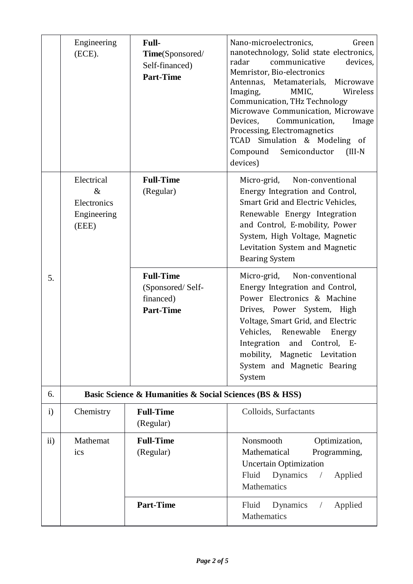|              | Engineering<br>(ECE).                                     | Full-<br>Time(Sponsored/<br>Self-financed)<br><b>Part-Time</b>        | Nano-microelectronics,<br>Green<br>nanotechnology, Solid state electronics,<br>communicative<br>radar<br>devices,<br>Memristor, Bio-electronics<br>Antennas, Metamaterials,<br>Microwave<br>MMIC,<br>Wireless<br>Imaging,<br>Communication, THz Technology<br>Microwave Communication, Microwave<br>Devices,<br>Communication,<br>Image<br>Processing, Electromagnetics<br>TCAD Simulation & Modeling of<br>Compound<br>Semiconductor<br>$(III-N)$<br>devices) |  |  |
|--------------|-----------------------------------------------------------|-----------------------------------------------------------------------|----------------------------------------------------------------------------------------------------------------------------------------------------------------------------------------------------------------------------------------------------------------------------------------------------------------------------------------------------------------------------------------------------------------------------------------------------------------|--|--|
|              | Electrical<br>$\&$<br>Electronics<br>Engineering<br>(EEE) | <b>Full-Time</b><br>(Regular)                                         | Micro-grid,<br>Non-conventional<br>Energy Integration and Control,<br>Smart Grid and Electric Vehicles,<br>Renewable Energy Integration<br>and Control, E-mobility, Power<br>System, High Voltage, Magnetic<br>Levitation System and Magnetic<br><b>Bearing System</b>                                                                                                                                                                                         |  |  |
| 5.           |                                                           | <b>Full-Time</b><br>(Sponsored/Self-<br>financed)<br><b>Part-Time</b> | Micro-grid,<br>Non-conventional<br>Energy Integration and Control,<br>Power Electronics & Machine<br>Drives, Power System, High<br>Voltage, Smart Grid, and Electric<br>Vehicles, Renewable<br>Energy<br>Integration and Control, E-<br>mobility, Magnetic Levitation<br>System and Magnetic Bearing<br>System                                                                                                                                                 |  |  |
| 6.           | Basic Science & Humanities & Social Sciences (BS & HSS)   |                                                                       |                                                                                                                                                                                                                                                                                                                                                                                                                                                                |  |  |
| $\mathbf{i}$ | Chemistry                                                 | <b>Full-Time</b><br>(Regular)                                         | Colloids, Surfactants                                                                                                                                                                                                                                                                                                                                                                                                                                          |  |  |
| $\rm ii)$    | Mathemat<br>ics                                           | <b>Full-Time</b><br>(Regular)                                         | Nonsmooth<br>Optimization,<br>Mathematical<br>Programming,<br><b>Uncertain Optimization</b><br>Dynamics<br>Fluid<br>Applied<br>$\sqrt{2}$<br>Mathematics                                                                                                                                                                                                                                                                                                       |  |  |
|              |                                                           | <b>Part-Time</b>                                                      | Dynamics<br>Applied<br>Fluid<br>$\sqrt{2}$<br>Mathematics                                                                                                                                                                                                                                                                                                                                                                                                      |  |  |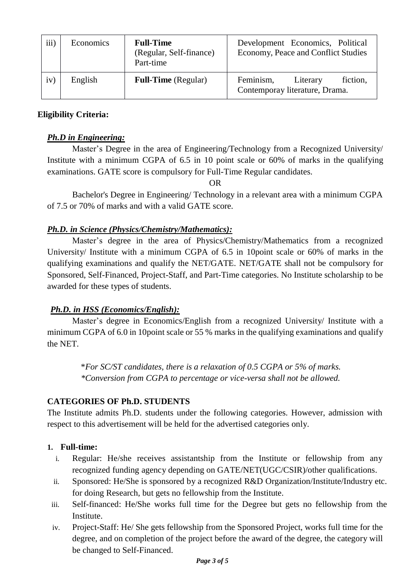| iii) | Economics | <b>Full-Time</b><br>(Regular, Self-finance)<br>Part-time | Development Economics, Political<br>Economy, Peace and Conflict Studies |
|------|-----------|----------------------------------------------------------|-------------------------------------------------------------------------|
| iv)  | English   | <b>Full-Time</b> (Regular)                               | fiction,<br>Feminism,<br>Literary<br>Contemporay literature, Drama.     |

### **Eligibility Criteria:**

### *Ph.D in Engineering:*

Master's Degree in the area of Engineering/Technology from a Recognized University/ Institute with a minimum CGPA of 6.5 in 10 point scale or 60% of marks in the qualifying examinations. GATE score is compulsory for Full-Time Regular candidates.

OR

Bachelor's Degree in Engineering/ Technology in a relevant area with a minimum CGPA of 7.5 or 70% of marks and with a valid GATE score.

#### *Ph.D. in Science (Physics/Chemistry/Mathematics):*

Master's degree in the area of Physics/Chemistry/Mathematics from a recognized University/ Institute with a minimum CGPA of 6.5 in 10point scale or 60% of marks in the qualifying examinations and qualify the NET/GATE. NET/GATE shall not be compulsory for Sponsored, Self-Financed, Project-Staff, and Part-Time categories. No Institute scholarship to be awarded for these types of students.

## *Ph.D. in HSS (Economics/English):*

Master's degree in Economics/English from a recognized University/ Institute with a minimum CGPA of 6.0 in 10point scale or 55 % marks in the qualifying examinations and qualify the NET.

> \**For SC/ST candidates, there is a relaxation of 0.5 CGPA or 5% of marks. \*Conversion from CGPA to percentage or vice-versa shall not be allowed.*

## **CATEGORIES OF Ph.D. STUDENTS**

The Institute admits Ph.D. students under the following categories. However, admission with respect to this advertisement will be held for the advertised categories only.

#### **1. Full-time:**

- i. Regular: He/she receives assistantship from the Institute or fellowship from any recognized funding agency depending on GATE/NET(UGC/CSIR)/other qualifications.
- ii. Sponsored: He/She is sponsored by a recognized R&D Organization/Institute/Industry etc. for doing Research, but gets no fellowship from the Institute.
- iii. Self-financed: He/She works full time for the Degree but gets no fellowship from the Institute.
- iv. Project-Staff: He/ She gets fellowship from the Sponsored Project, works full time for the degree, and on completion of the project before the award of the degree, the category will be changed to Self-Financed.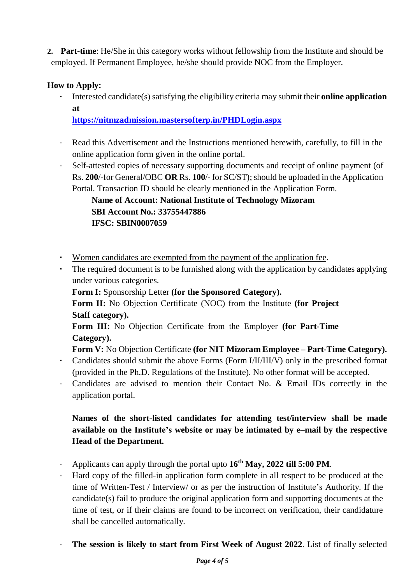**2. Part-time**: He/She in this category works without fellowship from the Institute and should be employed. If Permanent Employee, he/she should provide NOC from the Employer.

## **How to Apply:**

**·** Interested candidate(s) satisfying the eligibility criteria may submit their **online application at**

**<https://nitmzadmission.mastersofterp.in/PHDLogin.aspx>**

- Read this Advertisement and the Instructions mentioned herewith, carefully, to fill in the online application form given in the online portal.
- Self-attested copies of necessary supporting documents and receipt of online payment (of Rs. **200**/-for General/OBC OR Rs. **100/-** for SC/ST); should be uploaded in the Application Portal. Transaction ID should be clearly mentioned in the Application Form.

# **Name of Account: National Institute of Technology Mizoram SBI Account No.: 33755447886 IFSC: SBIN0007059**

- **·** Women candidates are exempted from the payment of the application fee.
- **·** The required document is to be furnished along with the application by candidates applying under various categories.

**Form I:** Sponsorship Letter **(for the Sponsored Category).**

**Form II:** No Objection Certificate (NOC) from the Institute **(for Project Staff category).**

**Form III:** No Objection Certificate from the Employer **(for Part-Time Category).**

**Form V:** No Objection Certificate **(for NIT Mizoram Employee – Part-Time Category).**

- **·** Candidates should submit the above Forms (Form I/II/III/V) only in the prescribed format (provided in the Ph.D. Regulations of the Institute). No other format will be accepted.
- · Candidates are advised to mention their Contact No. & Email IDs correctly in the application portal.

# **Names of the short-listed candidates for attending test/interview shall be made available on the Institute's website or may be intimated by e–mail by the respective Head of the Department.**

- · Applicants can apply through the portal upto **16th May, 2022 till 5:00 PM**.
- · Hard copy of the filled-in application form complete in all respect to be produced at the time of Written-Test / Interview/ or as per the instruction of Institute's Authority. If the candidate(s) fail to produce the original application form and supporting documents at the time of test, or if their claims are found to be incorrect on verification, their candidature shall be cancelled automatically.
- · **The session is likely to start from First Week of August 2022**. List of finally selected